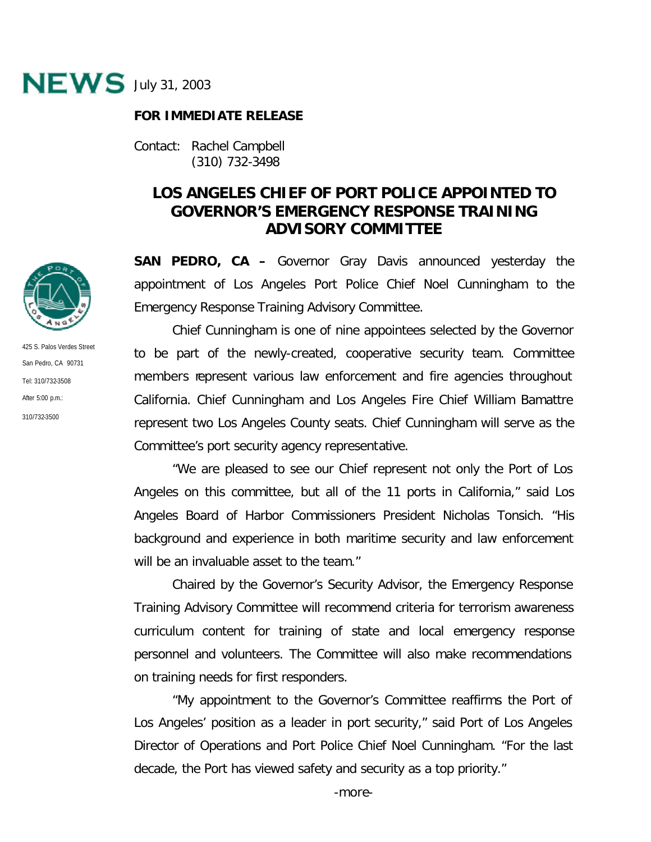

## **FOR IMMEDIATE RELEASE**

Contact: Rachel Campbell (310) 732-3498

## **LOS ANGELES CHIEF OF PORT POLICE APPOINTED TO GOVERNOR'S EMERGENCY RESPONSE TRAINING ADVISORY COMMITTEE**

**SAN PEDRO, CA –** Governor Gray Davis announced yesterday the appointment of Los Angeles Port Police Chief Noel Cunningham to the Emergency Response Training Advisory Committee.

Chief Cunningham is one of nine appointees selected by the Governor to be part of the newly-created, cooperative security team. Committee members represent various law enforcement and fire agencies throughout California. Chief Cunningham and Los Angeles Fire Chief William Bamattre represent two Los Angeles County seats. Chief Cunningham will serve as the Committee's port security agency representative.

"We are pleased to see our Chief represent not only the Port of Los Angeles on this committee, but all of the 11 ports in California," said Los Angeles Board of Harbor Commissioners President Nicholas Tonsich. "His background and experience in both maritime security and law enforcement will be an invaluable asset to the team."

Chaired by the Governor's Security Advisor, the Emergency Response Training Advisory Committee will recommend criteria for terrorism awareness curriculum content for training of state and local emergency response personnel and volunteers. The Committee will also make recommendations on training needs for first responders.

"My appointment to the Governor's Committee reaffirms the Port of Los Angeles' position as a leader in port security," said Port of Los Angeles Director of Operations and Port Police Chief Noel Cunningham. "For the last decade, the Port has viewed safety and security as a top priority."



425 S. Palos Verdes Street San Pedro, CA 90731 Tel: 310/732-3508 After 5:00 p.m.: 310/732-3500